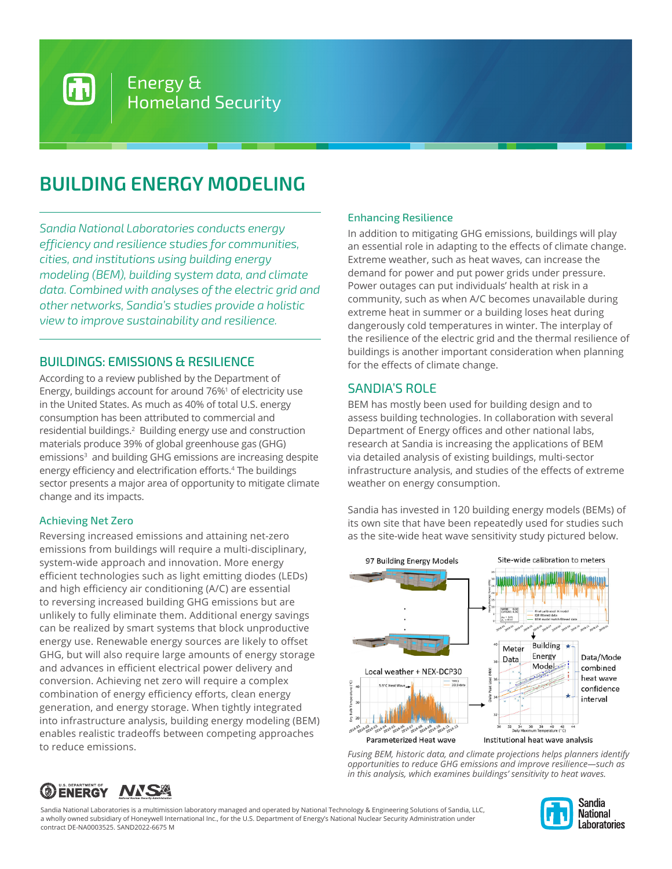# **BUILDING ENERGY MODELING**

Energy &

Homeland Security

*Sandia National Laboratories conducts energy efficiency and resilience studies for communities, cities, and institutions using building energy modeling (BEM), building system data, and climate data. Combined with analyses of the electric grid and other networks, Sandia's studies provide a holistic view to improve sustainability and resilience.* 

## BUILDINGS: EMISSIONS & RESILIENCE

According to a review published by the Department of Energy, buildings account for around 76%<sup>1</sup> of electricity use in the United States. As much as 40% of total U.S. energy consumption has been attributed to commercial and residential buildings.<sup>2</sup> Building energy use and construction materials produce 39% of global greenhouse gas (GHG) emissions<sup>3</sup> and building GHG emissions are increasing despite energy efficiency and electrification efforts.<sup>4</sup> The buildings sector presents a major area of opportunity to mitigate climate change and its impacts.

#### Achieving Net Zero

Reversing increased emissions and attaining net-zero emissions from buildings will require a multi-disciplinary, system-wide approach and innovation. More energy efficient technologies such as light emitting diodes (LEDs) and high efficiency air conditioning (A/C) are essential to reversing increased building GHG emissions but are unlikely to fully eliminate them. Additional energy savings can be realized by smart systems that block unproductive energy use. Renewable energy sources are likely to offset GHG, but will also require large amounts of energy storage and advances in efficient electrical power delivery and conversion. Achieving net zero will require a complex combination of energy efficiency efforts, clean energy generation, and energy storage. When tightly integrated into infrastructure analysis, building energy modeling (BEM) enables realistic tradeoffs between competing approaches to reduce emissions.

## Enhancing Resilience

In addition to mitigating GHG emissions, buildings will play an essential role in adapting to the effects of climate change. Extreme weather, such as heat waves, can increase the demand for power and put power grids under pressure. Power outages can put individuals' health at risk in a community, such as when A/C becomes unavailable during extreme heat in summer or a building loses heat during dangerously cold temperatures in winter. The interplay of the resilience of the electric grid and the thermal resilience of buildings is another important consideration when planning for the effects of climate change.

## SANDIA'S ROLE

BEM has mostly been used for building design and to assess building technologies. In collaboration with several Department of Energy offices and other national labs, research at Sandia is increasing the applications of BEM via detailed analysis of existing buildings, multi-sector infrastructure analysis, and studies of the effects of extreme weather on energy consumption.

Sandia has invested in 120 building energy models (BEMs) of its own site that have been repeatedly used for studies such as the site-wide heat wave sensitivity study pictured below.



*Fusing BEM, historic data, and climate projections helps planners identify opportunities to reduce GHG emissions and improve resilience—such as in this analysis, which examines buildings' sensitivity to heat waves.*



Sandia National Laboratories is a multimission laboratory managed and operated by National Technology & Engineering Solutions of Sandia, LLC, a wholly owned subsidiary of Honeywell International Inc., for the U.S. Department of Energy's National Nuclear Security Administration under contract DE-NA0003525. SAND2022-6675 M